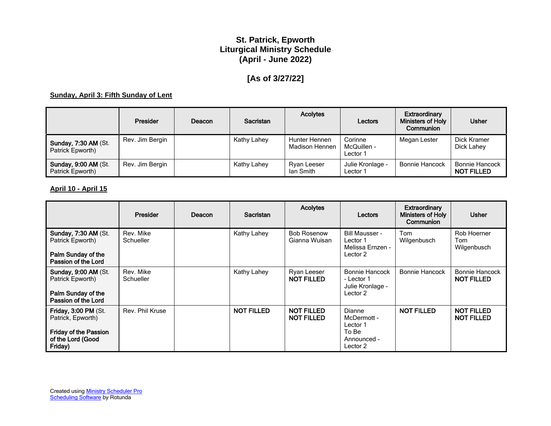# **St. Patrick, Epworth Liturgical Ministry Schedule (April - June 2022)**

# **[As of 3/27/22]**

#### **Sunday, April 3: Fifth Sunday of Lent**

|                                                 | Presider        | Deacon | <b>Sacristan</b> | <b>Acolytes</b>                 | Lectors                            | Extraordinary<br><b>Ministers of Holy</b><br>Communion | <b>Usher</b>                               |
|-------------------------------------------------|-----------------|--------|------------------|---------------------------------|------------------------------------|--------------------------------------------------------|--------------------------------------------|
| <b>Sunday, 7:30 AM (St.</b><br>Patrick Epworth) | Rev. Jim Bergin |        | Kathy Lahey      | Hunter Hennen<br>Madison Hennen | Corinne<br>McQuillen -<br>Lector 1 | Megan Lester                                           | Dick Kramer<br>Dick Lahev                  |
| <b>Sunday, 9:00 AM (St.</b><br>Patrick Epworth) | Rev. Jim Bergin |        | Kathy Lahey      | Ryan Leeser<br>lan Smith        | Julie Kronlage -<br>Lector 1       | <b>Bonnie Hancock</b>                                  | <b>Bonnie Hancock</b><br><b>NOT FILLED</b> |

#### **April 10 - April 15**

|                                                                                                                  | Presider               | Deacon | Sacristan         | <b>Acolytes</b>                        | Lectors                                                               | <b>Extraordinary</b><br><b>Ministers of Holy</b><br>Communion | <b>Usher</b>                               |
|------------------------------------------------------------------------------------------------------------------|------------------------|--------|-------------------|----------------------------------------|-----------------------------------------------------------------------|---------------------------------------------------------------|--------------------------------------------|
| <b>Sunday, 7:30 AM (St.</b><br>Patrick Epworth)<br>Palm Sunday of the<br>Passion of the Lord                     | Rev. Mike<br>Schueller |        | Kathy Lahey       | <b>Bob Rosenow</b><br>Gianna Wuisan    | Bill Mausser -<br>Lector 1<br>Melissa Ernzen -<br>Lector 2            | Tom<br>Wilgenbusch                                            | Rob Hoerner<br>Tom<br>Wilgenbusch          |
| <b>Sunday, 9:00 AM (St.</b><br>Patrick Epworth)<br>Palm Sunday of the<br>Passion of the Lord                     | Rev. Mike<br>Schueller |        | Kathy Lahey       | Ryan Leeser<br><b>NOT FILLED</b>       | Bonnie Hancock<br>- Lector 1<br>Julie Kronlage -<br>Lector 2          | Bonnie Hancock                                                | <b>Bonnie Hancock</b><br><b>NOT FILLED</b> |
| <b>Friday, 3:00 PM (St.</b><br>Patrick, Epworth)<br><b>Friday of the Passion</b><br>of the Lord (Good<br>Friday) | Rev. Phil Kruse        |        | <b>NOT FILLED</b> | <b>NOT FILLED</b><br><b>NOT FILLED</b> | Dianne<br>McDermott -<br>Lector 1<br>To Be<br>Announced -<br>Lector 2 | <b>NOT FILLED</b>                                             | <b>NOT FILLED</b><br><b>NOT FILLED</b>     |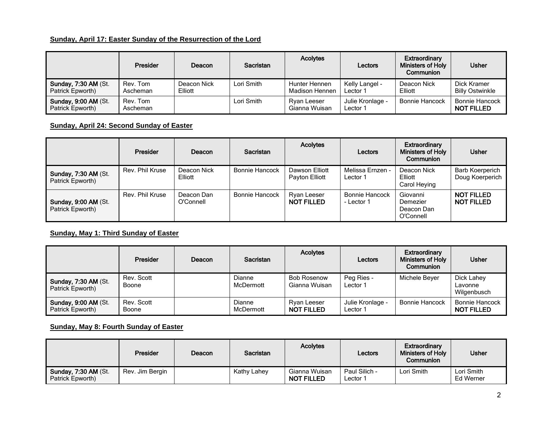## **Sunday, April 17: Easter Sunday of the Resurrection of the Lord**

|                                                 | <b>Presider</b>      | Deacon                 | Sacristan  | <b>Acolytes</b>                 | Lectors                      | Extraordinary<br><b>Ministers of Holy</b><br>Communion | <b>Usher</b>                               |
|-------------------------------------------------|----------------------|------------------------|------------|---------------------------------|------------------------------|--------------------------------------------------------|--------------------------------------------|
| <b>Sunday, 7:30 AM (St.</b><br>Patrick Epworth) | Rev. Tom<br>Ascheman | Deacon Nick<br>Elliott | Lori Smith | Hunter Hennen<br>Madison Hennen | Kelly Langel -<br>Lector 1   | Deacon Nick<br>Elliott                                 | Dick Kramer<br><b>Billy Ostwinkle</b>      |
| <b>Sunday, 9:00 AM (St.</b><br>Patrick Epworth) | Rev. Tom<br>Ascheman |                        | Lori Smith | Ryan Leeser<br>Gianna Wuisan    | Julie Kronlage -<br>Lector 1 | <b>Bonnie Hancock</b>                                  | <b>Bonnie Hancock</b><br><b>NOT FILLED</b> |

## **Sunday, April 24: Second Sunday of Easter**

|                                                 | Presider        | Deacon                  | <b>Sacristan</b> | <b>Acolytes</b>                  | Lectors                             | Extraordinary<br><b>Ministers of Holy</b><br>Communion | <b>Usher</b>                              |
|-------------------------------------------------|-----------------|-------------------------|------------------|----------------------------------|-------------------------------------|--------------------------------------------------------|-------------------------------------------|
| <b>Sunday, 7:30 AM (St.</b><br>Patrick Epworth) | Rev. Phil Kruse | Deacon Nick<br>Elliott  | Bonnie Hancock   | Dawson Elliott<br>Payton Elliott | Melissa Ernzen -<br>Lector 1        | Deacon Nick<br>Elliott<br>Carol Heying                 | <b>Barb Koerperich</b><br>Doug Koerperich |
| <b>Sunday, 9:00 AM (St.</b><br>Patrick Epworth) | Rev. Phil Kruse | Deacon Dan<br>O'Connell | Bonnie Hancock   | Ryan Leeser<br><b>NOT FILLED</b> | <b>Bonnie Hancock</b><br>- Lector 1 | Giovanni<br>Demezier<br>Deacon Dan<br>O'Connell        | <b>NOT FILLED</b><br><b>NOT FILLED</b>    |

#### **Sunday, May 1: Third Sunday of Easter**

|                                                 | <b>Presider</b>     | Deacon | <b>Sacristan</b>    | <b>Acolytes</b>                     | Lectors                      | Extraordinary<br><b>Ministers of Holy</b><br>Communion | <b>Usher</b>                               |
|-------------------------------------------------|---------------------|--------|---------------------|-------------------------------------|------------------------------|--------------------------------------------------------|--------------------------------------------|
| <b>Sunday, 7:30 AM (St.</b><br>Patrick Epworth) | Rev. Scott<br>Boone |        | Dianne<br>McDermott | <b>Bob Rosenow</b><br>Gianna Wuisan | Peg Ries -<br>Lector 1       | Michele Bever                                          | Dick Lahey<br>Lavonne<br>Wilgenbusch       |
| <b>Sunday, 9:00 AM (St.</b><br>Patrick Epworth) | Rev. Scott<br>Boone |        | Dianne<br>McDermott | Ryan Leeser<br><b>NOT FILLED</b>    | Julie Kronlage -<br>Lector 1 | <b>Bonnie Hancock</b>                                  | <b>Bonnie Hancock</b><br><b>NOT FILLED</b> |

#### **Sunday, May 8: Fourth Sunday of Easter**

|                                          | <b>Presider</b> | Deacon | <b>Sacristan</b> | <b>Acolytes</b>                    | Lectors                   | Extraordinary<br>Ministers of Holy<br><b>Communion</b> | <b>Usher</b>            |
|------------------------------------------|-----------------|--------|------------------|------------------------------------|---------------------------|--------------------------------------------------------|-------------------------|
| Sunday, 7:30 AM (St.<br>Patrick Epworth) | Rev. Jim Bergin |        | Kathy Lahey      | Gianna Wuisan<br><b>NOT FILLED</b> | Paul Silich -<br>Lector 1 | Lori Smith                                             | Lori Smith<br>Ed Werner |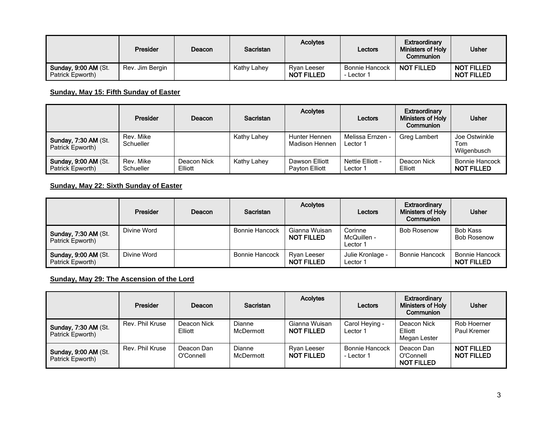|                                          | Presider        | Deacon | <b>Sacristan</b> | <b>Acolytes</b>                  | Lectors                             | Extraordinary<br><b>Ministers of Holy</b><br>Communion | <b>Usher</b>                           |
|------------------------------------------|-----------------|--------|------------------|----------------------------------|-------------------------------------|--------------------------------------------------------|----------------------------------------|
| Sunday, 9:00 AM (St.<br>Patrick Epworth) | Rev. Jim Bergin |        | Kathy Lahey      | Ryan Leeser<br><b>NOT FILLED</b> | <b>Bonnie Hancock</b><br>- Lector 1 | <b>NOT FILLED</b>                                      | <b>NOT FILLED</b><br><b>NOT FILLED</b> |

### **Sunday, May 15: Fifth Sunday of Easter**

|                                                 | <b>Presider</b>        | Deacon                 | <b>Sacristan</b> | <b>Acolytes</b>                  | Lectors                      | Extraordinary<br><b>Ministers of Holy</b><br>Communion | <b>Usher</b>                               |
|-------------------------------------------------|------------------------|------------------------|------------------|----------------------------------|------------------------------|--------------------------------------------------------|--------------------------------------------|
| <b>Sunday, 7:30 AM (St.</b><br>Patrick Epworth) | Rev. Mike<br>Schueller |                        | Kathy Lahey      | Hunter Hennen<br>Madison Hennen  | Melissa Ernzen -<br>Lector 1 | Greg Lambert                                           | Joe Ostwinkle<br>Tom<br>Wilgenbusch        |
| <b>Sunday, 9:00 AM (St.</b><br>Patrick Epworth) | Rev. Mike<br>Schueller | Deacon Nick<br>Elliott | Kathy Lahey      | Dawson Elliott<br>Payton Elliott | Nettie Elliott -<br>Lector 1 | Deacon Nick<br>Elliott                                 | <b>Bonnie Hancock</b><br><b>NOT FILLED</b> |

#### **Sunday, May 22: Sixth Sunday of Easter**

|                                                 | <b>Presider</b> | Deacon | <b>Sacristan</b>      | <b>Acolytes</b>                    | Lectors                            | Extraordinary<br><b>Ministers of Holy</b><br>Communion | <b>Usher</b>                        |
|-------------------------------------------------|-----------------|--------|-----------------------|------------------------------------|------------------------------------|--------------------------------------------------------|-------------------------------------|
| Sunday, 7:30 AM (St.<br>Patrick Epworth)        | Divine Word     |        | Bonnie Hancock        | Gianna Wuisan<br><b>NOT FILLED</b> | Corinne<br>McQuillen -<br>Lector 1 | <b>Bob Rosenow</b>                                     | Bob Kass<br><b>Bob Rosenow</b>      |
| <b>Sunday, 9:00 AM (St.</b><br>Patrick Epworth) | Divine Word     |        | <b>Bonnie Hancock</b> | Ryan Leeser<br><b>NOT FILLED</b>   | Julie Kronlage -<br>Lector 1       | <b>Bonnie Hancock</b>                                  | Bonnie Hancock<br><b>NOT FILLED</b> |

# **Sunday, May 29: The Ascension of the Lord**

|                                                 | Presider        | Deacon                  | <b>Sacristan</b>           | <b>Acolytes</b>                    | Lectors                             | Extraordinary<br><b>Ministers of Holy</b><br>Communion | <b>Usher</b>                           |
|-------------------------------------------------|-----------------|-------------------------|----------------------------|------------------------------------|-------------------------------------|--------------------------------------------------------|----------------------------------------|
| <b>Sunday, 7:30 AM (St.</b><br>Patrick Epworth) | Rev. Phil Kruse | Deacon Nick<br>Elliott  | Dianne<br>McDermott        | Gianna Wuisan<br><b>NOT FILLED</b> | Carol Heying -<br>Lector 1          | Deacon Nick<br>Elliott<br>Megan Lester                 | Rob Hoerner<br>Paul Kremer             |
| <b>Sunday, 9:00 AM (St.</b><br>Patrick Epworth) | Rev. Phil Kruse | Deacon Dan<br>O'Connell | <b>Dianne</b><br>McDermott | Ryan Leeser<br><b>NOT FILLED</b>   | <b>Bonnie Hancock</b><br>- Lector 1 | Deacon Dan<br>O'Connell<br><b>NOT FILLED</b>           | <b>NOT FILLED</b><br><b>NOT FILLED</b> |